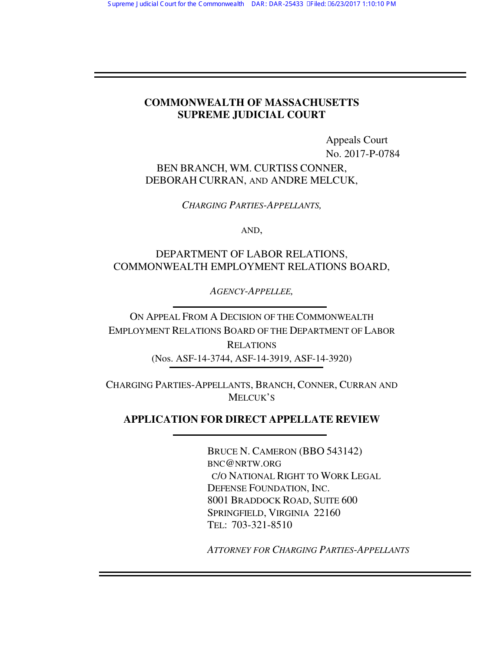## **COMMONWEALTH OF MASSACHUSETTS SUPREME JUDICIAL COURT**

 Appeals Court No. 2017-P-0784 BEN BRANCH, WM. CURTISS CONNER, DEBORAH CURRAN, AND ANDRE MELCUK,

*CHARGING PARTIES-APPELLANTS,* 

AND,

# DEPARTMENT OF LABOR RELATIONS, COMMONWEALTH EMPLOYMENT RELATIONS BOARD,

*AGENCY-APPELLEE,* 

ON APPEAL FROM A DECISION OF THE COMMONWEALTH EMPLOYMENT RELATIONS BOARD OF THE DEPARTMENT OF LABOR RELATIONS (Nos. ASF-14-3744, ASF-14-3919, ASF-14-3920)

CHARGING PARTIES-APPELLANTS, BRANCH, CONNER, CURRAN AND MELCUK'S

# **APPLICATION FOR DIRECT APPELLATE REVIEW**

 BRUCE N. CAMERON (BBO 543142) BNC@NRTW.ORG C/O NATIONAL RIGHT TO WORK LEGAL DEFENSE FOUNDATION, INC. 8001 BRADDOCK ROAD, SUITE 600 SPRINGFIELD, VIRGINIA 22160 TEL: 703-321-8510

*ATTORNEY FOR CHARGING PARTIES-APPELLANTS*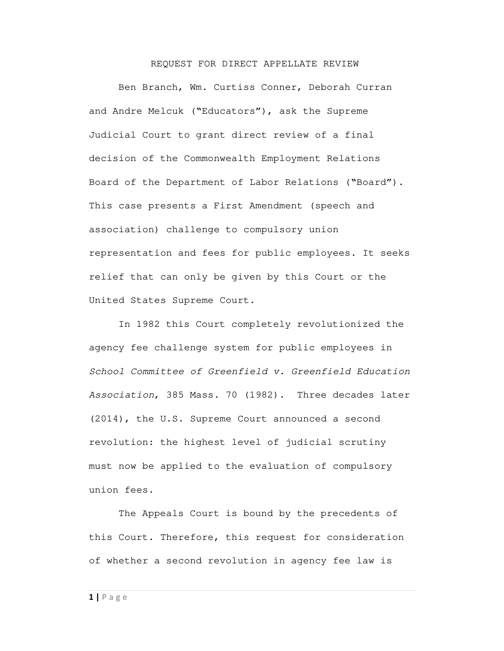### REQUEST FOR DIRECT APPELLATE REVIEW

 Ben Branch, Wm. Curtiss Conner, Deborah Curran and Andre Melcuk ("Educators"), ask the Supreme Judicial Court to grant direct review of a final decision of the Commonwealth Employment Relations Board of the Department of Labor Relations ("Board"). This case presents a First Amendment (speech and association) challenge to compulsory union representation and fees for public employees. It seeks relief that can only be given by this Court or the United States Supreme Court.

 In 1982 this Court completely revolutionized the agency fee challenge system for public employees in School Committee of Greenfield v. Greenfield Education Association, 385 Mass. 70 (1982). Three decades later (2014), the U.S. Supreme Court announced a second revolution: the highest level of judicial scrutiny must now be applied to the evaluation of compulsory union fees.

 The Appeals Court is bound by the precedents of this Court. Therefore, this request for consideration of whether a second revolution in agency fee law is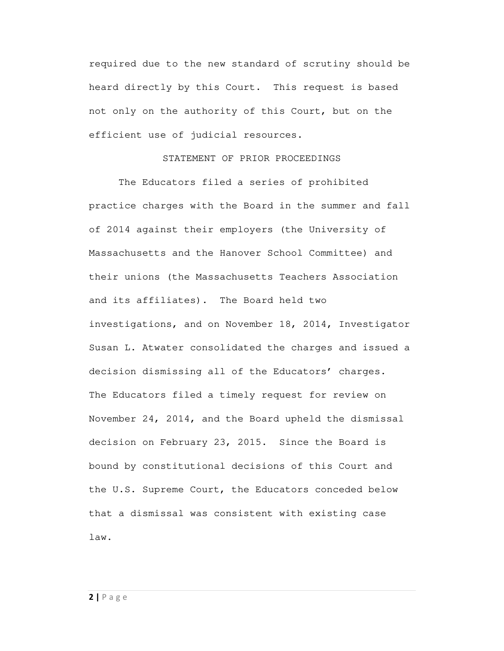required due to the new standard of scrutiny should be heard directly by this Court. This request is based not only on the authority of this Court, but on the efficient use of judicial resources.

## STATEMENT OF PRIOR PROCEEDINGS

 The Educators filed a series of prohibited practice charges with the Board in the summer and fall of 2014 against their employers (the University of Massachusetts and the Hanover School Committee) and their unions (the Massachusetts Teachers Association and its affiliates). The Board held two investigations, and on November 18, 2014, Investigator Susan L. Atwater consolidated the charges and issued a decision dismissing all of the Educators' charges. The Educators filed a timely request for review on November 24, 2014, and the Board upheld the dismissal decision on February 23, 2015. Since the Board is bound by constitutional decisions of this Court and the U.S. Supreme Court, the Educators conceded below that a dismissal was consistent with existing case law.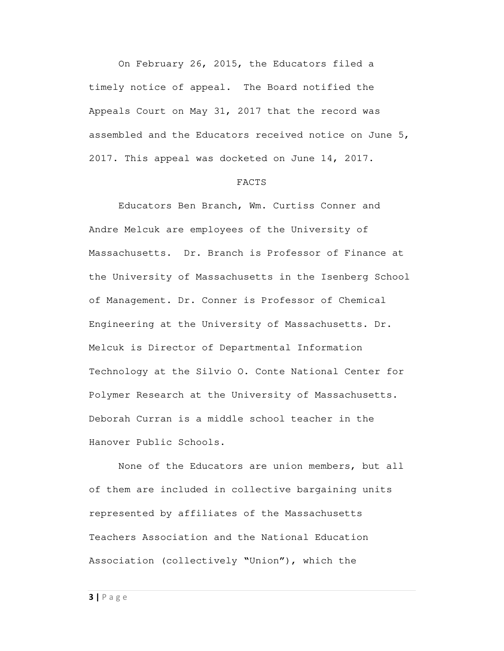On February 26, 2015, the Educators filed a timely notice of appeal. The Board notified the Appeals Court on May 31, 2017 that the record was assembled and the Educators received notice on June 5, 2017. This appeal was docketed on June 14, 2017.

#### FACTS

 Educators Ben Branch, Wm. Curtiss Conner and Andre Melcuk are employees of the University of Massachusetts. Dr. Branch is Professor of Finance at the University of Massachusetts in the Isenberg School of Management. Dr. Conner is Professor of Chemical Engineering at the University of Massachusetts. Dr. Melcuk is Director of Departmental Information Technology at the Silvio O. Conte National Center for Polymer Research at the University of Massachusetts. Deborah Curran is a middle school teacher in the Hanover Public Schools.

 None of the Educators are union members, but all of them are included in collective bargaining units represented by affiliates of the Massachusetts Teachers Association and the National Education Association (collectively "Union"), which the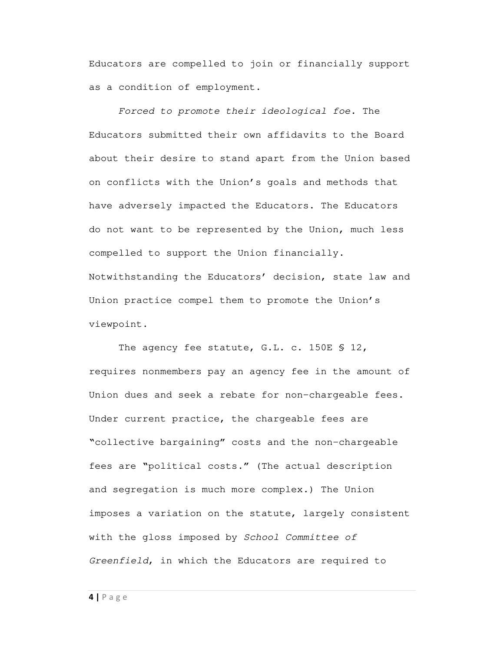Educators are compelled to join or financially support as a condition of employment.

Forced to promote their ideological foe. The Educators submitted their own affidavits to the Board about their desire to stand apart from the Union based on conflicts with the Union's goals and methods that have adversely impacted the Educators. The Educators do not want to be represented by the Union, much less compelled to support the Union financially. Notwithstanding the Educators' decision, state law and Union practice compel them to promote the Union's viewpoint.

The agency fee statute, G.L. c. 150E \$ 12, requires nonmembers pay an agency fee in the amount of Union dues and seek a rebate for non-chargeable fees. Under current practice, the chargeable fees are "collective bargaining" costs and the non-chargeable fees are "political costs." (The actual description and segregation is much more complex.) The Union imposes a variation on the statute, largely consistent with the gloss imposed by School Committee of Greenfield, in which the Educators are required to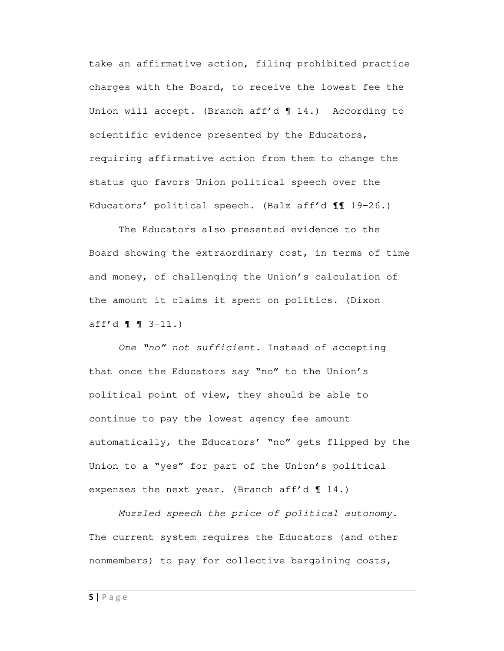take an affirmative action, filing prohibited practice charges with the Board, to receive the lowest fee the Union will accept. (Branch aff'd ¶ 14.) According to scientific evidence presented by the Educators, requiring affirmative action from them to change the status quo favors Union political speech over the Educators' political speech. (Balz aff'd ¶¶ 19-26.)

 The Educators also presented evidence to the Board showing the extraordinary cost, in terms of time and money, of challenging the Union's calculation of the amount it claims it spent on politics. (Dixon aff'd  $\llbracket \quad \llbracket 3-11 \end{array}$ .)

One "no" not sufficient. Instead of accepting that once the Educators say "no" to the Union's political point of view, they should be able to continue to pay the lowest agency fee amount automatically, the Educators' "no" gets flipped by the Union to a "yes" for part of the Union's political expenses the next year. (Branch aff'd ¶ 14.)

Muzzled speech the price of political autonomy. The current system requires the Educators (and other nonmembers) to pay for collective bargaining costs,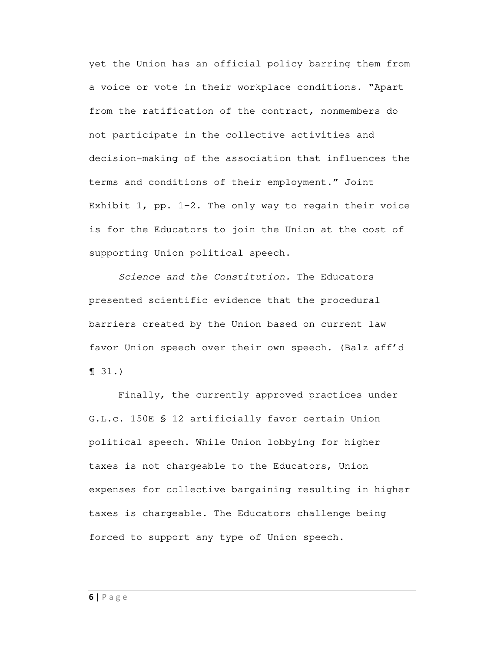yet the Union has an official policy barring them from a voice or vote in their workplace conditions. "Apart from the ratification of the contract, nonmembers do not participate in the collective activities and decision-making of the association that influences the terms and conditions of their employment." Joint Exhibit 1, pp. 1-2. The only way to regain their voice is for the Educators to join the Union at the cost of supporting Union political speech.

Science and the Constitution. The Educators presented scientific evidence that the procedural barriers created by the Union based on current law favor Union speech over their own speech. (Balz aff'd ¶ 31.)

 Finally, the currently approved practices under G.L.c. 150E § 12 artificially favor certain Union political speech. While Union lobbying for higher taxes is not chargeable to the Educators, Union expenses for collective bargaining resulting in higher taxes is chargeable. The Educators challenge being forced to support any type of Union speech.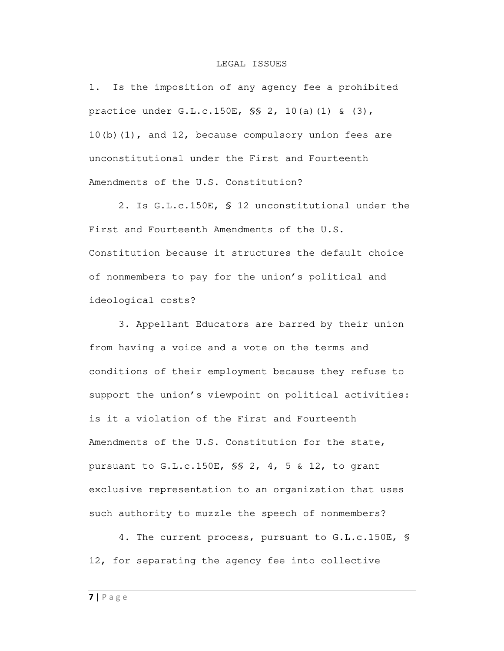#### LEGAL ISSUES

1. Is the imposition of any agency fee a prohibited practice under G.L.c.150E, §§ 2, 10(a)(1) & (3), 10(b)(1), and 12, because compulsory union fees are unconstitutional under the First and Fourteenth Amendments of the U.S. Constitution?

 2. Is G.L.c.150E, § 12 unconstitutional under the First and Fourteenth Amendments of the U.S. Constitution because it structures the default choice of nonmembers to pay for the union's political and ideological costs?

 3. Appellant Educators are barred by their union from having a voice and a vote on the terms and conditions of their employment because they refuse to support the union's viewpoint on political activities: is it a violation of the First and Fourteenth Amendments of the U.S. Constitution for the state, pursuant to G.L.c.150E, §§ 2, 4, 5 & 12, to grant exclusive representation to an organization that uses such authority to muzzle the speech of nonmembers?

 4. The current process, pursuant to G.L.c.150E, § 12, for separating the agency fee into collective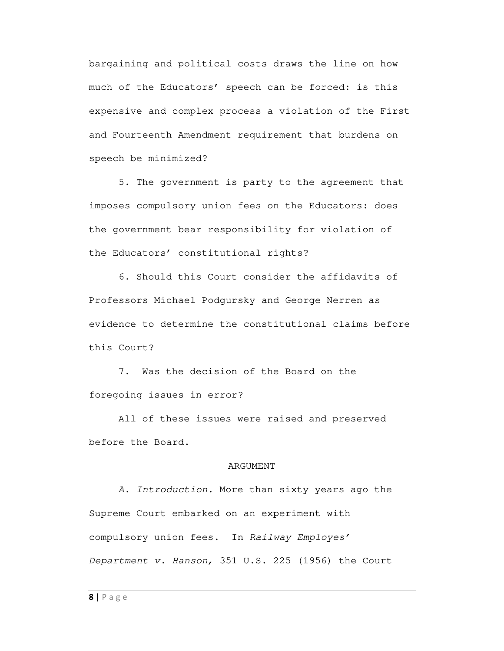bargaining and political costs draws the line on how much of the Educators' speech can be forced: is this expensive and complex process a violation of the First and Fourteenth Amendment requirement that burdens on speech be minimized?

 5. The government is party to the agreement that imposes compulsory union fees on the Educators: does the government bear responsibility for violation of the Educators' constitutional rights?

 6. Should this Court consider the affidavits of Professors Michael Podgursky and George Nerren as evidence to determine the constitutional claims before this Court?

 7. Was the decision of the Board on the foregoing issues in error?

 All of these issues were raised and preserved before the Board.

## ARGUMENT

A. Introduction. More than sixty years ago the Supreme Court embarked on an experiment with compulsory union fees. In Railway Employes' Department v. Hanson, 351 U.S. 225 (1956) the Court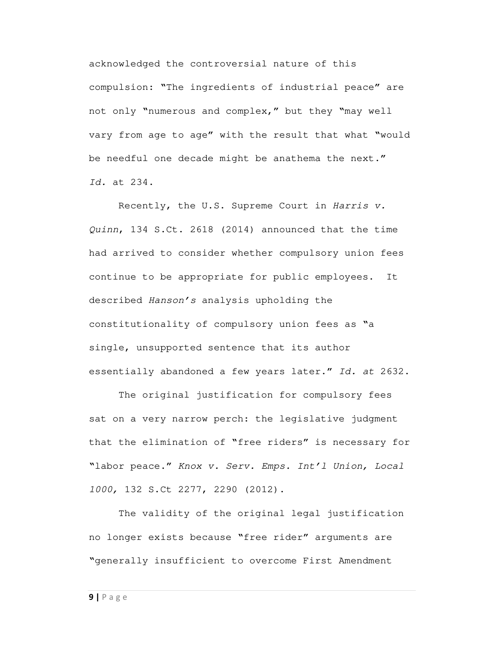acknowledged the controversial nature of this compulsion: "The ingredients of industrial peace" are not only "numerous and complex," but they "may well vary from age to age" with the result that what "would be needful one decade might be anathema the next." Id. at 234.

 Recently, the U.S. Supreme Court in Harris v. Quinn, 134 S.Ct. 2618 (2014) announced that the time had arrived to consider whether compulsory union fees continue to be appropriate for public employees. It described Hanson's analysis upholding the constitutionality of compulsory union fees as "a single, unsupported sentence that its author essentially abandoned a few years later." Id. at 2632.

 The original justification for compulsory fees sat on a very narrow perch: the legislative judgment that the elimination of "free riders" is necessary for "labor peace." Knox v. Serv. Emps. Int'l Union, Local 1000, 132 S.Ct 2277, 2290 (2012).

 The validity of the original legal justification no longer exists because "free rider" arguments are "generally insufficient to overcome First Amendment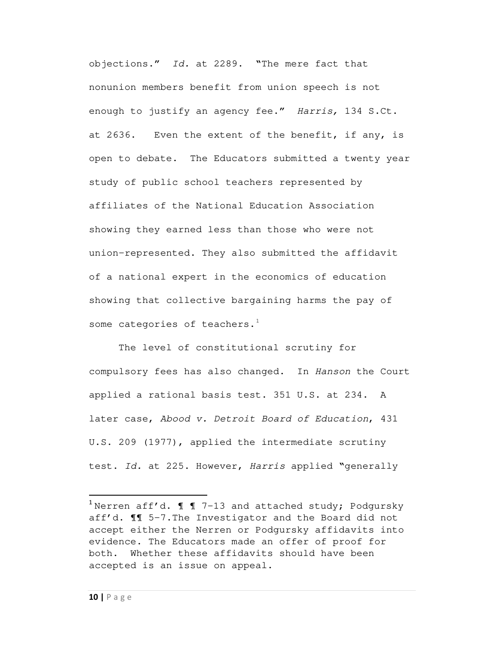objections." Id. at 2289. "The mere fact that nonunion members benefit from union speech is not enough to justify an agency fee." Harris, 134 S.Ct. at 2636. Even the extent of the benefit, if any, is open to debate. The Educators submitted a twenty year study of public school teachers represented by affiliates of the National Education Association showing they earned less than those who were not union-represented. They also submitted the affidavit of a national expert in the economics of education showing that collective bargaining harms the pay of some categories of teachers. $1$ 

 The level of constitutional scrutiny for compulsory fees has also changed. In Hanson the Court applied a rational basis test. 351 U.S. at 234. A later case, Abood v. Detroit Board of Education, 431 U.S. 209 (1977), applied the intermediate scrutiny test. Id. at 225. However, Harris applied "generally

 $\overline{a}$ 

 $^{\rm 1}$ Nerren aff $^{\prime}$ d. ¶  $\rm I\,$  7-13 and attached study; Podgursky aff'd. ¶¶ 5-7.The Investigator and the Board did not accept either the Nerren or Podgursky affidavits into evidence. The Educators made an offer of proof for both. Whether these affidavits should have been accepted is an issue on appeal.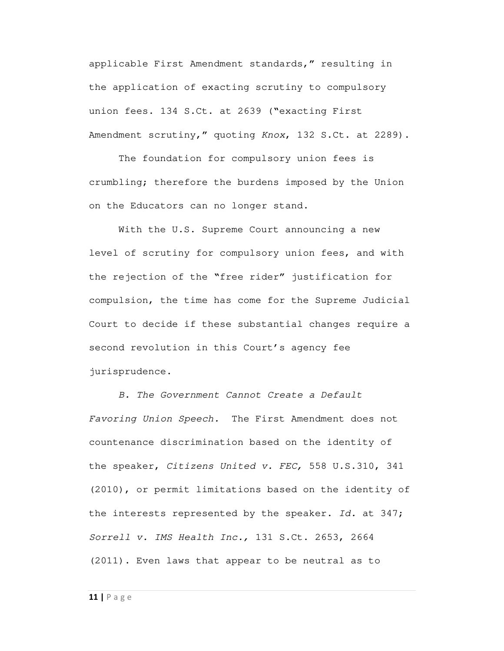applicable First Amendment standards," resulting in the application of exacting scrutiny to compulsory union fees. 134 S.Ct. at 2639 ("exacting First Amendment scrutiny," quoting Knox, 132 S.Ct. at 2289).

 The foundation for compulsory union fees is crumbling; therefore the burdens imposed by the Union on the Educators can no longer stand.

With the U.S. Supreme Court announcing a new level of scrutiny for compulsory union fees, and with the rejection of the "free rider" justification for compulsion, the time has come for the Supreme Judicial Court to decide if these substantial changes require a second revolution in this Court's agency fee jurisprudence.

B. The Government Cannot Create a Default Favoring Union Speech. The First Amendment does not countenance discrimination based on the identity of the speaker, Citizens United v. FEC, 558 U.S.310, 341 (2010), or permit limitations based on the identity of the interests represented by the speaker. Id. at  $347$ ; Sorrell v. IMS Health Inc., 131 S.Ct. 2653, 2664 (2011). Even laws that appear to be neutral as to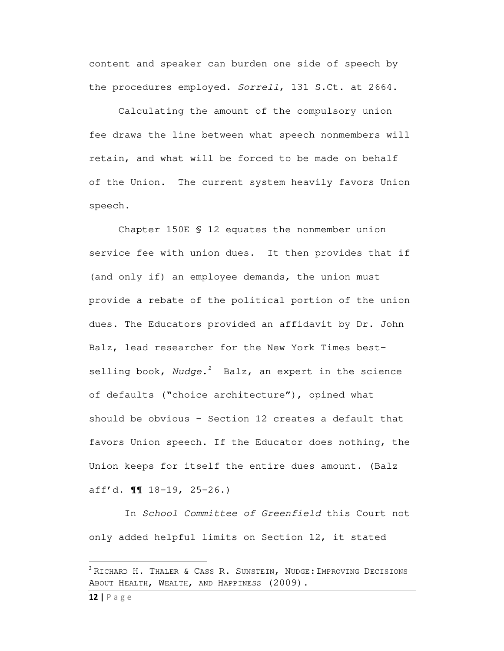content and speaker can burden one side of speech by the procedures employed. Sorrell, 131 S.Ct. at 2664.

 Calculating the amount of the compulsory union fee draws the line between what speech nonmembers will retain, and what will be forced to be made on behalf of the Union. The current system heavily favors Union speech.

 Chapter 150E § 12 equates the nonmember union service fee with union dues. It then provides that if (and only if) an employee demands, the union must provide a rebate of the political portion of the union dues. The Educators provided an affidavit by Dr. John Balz, lead researcher for the New York Times bestselling book, Nudge.<sup>2</sup> Balz, an expert in the science of defaults ("choice architecture"), opined what should be obvious – Section 12 creates a default that favors Union speech. If the Educator does nothing, the Union keeps for itself the entire dues amount. (Balz aff'd. ¶¶ 18-19, 25-26.)

 In School Committee of Greenfield this Court not only added helpful limits on Section 12, it stated

**12 |** Page

 $\overline{a}$ 

 $2$  RICHARD H. THALER & CASS R. SUNSTEIN, NUDGE: IMPROVING DECISIONS ABOUT HEALTH, WEALTH, AND HAPPINESS (2009).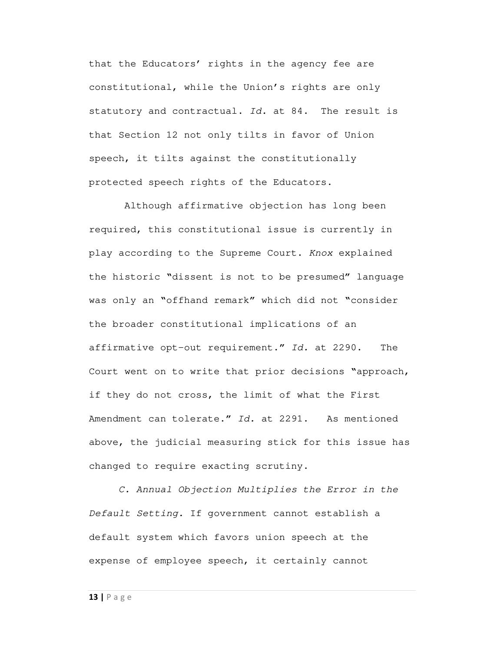that the Educators' rights in the agency fee are constitutional, while the Union's rights are only statutory and contractual. Id. at 84. The result is that Section 12 not only tilts in favor of Union speech, it tilts against the constitutionally protected speech rights of the Educators.

 Although affirmative objection has long been required, this constitutional issue is currently in play according to the Supreme Court. Knox explained the historic "dissent is not to be presumed" language was only an "offhand remark" which did not "consider the broader constitutional implications of an affirmative opt-out requirement." Id. at 2290. The Court went on to write that prior decisions "approach, if they do not cross, the limit of what the First Amendment can tolerate." Id. at 2291. As mentioned above, the judicial measuring stick for this issue has changed to require exacting scrutiny.

C. Annual Objection Multiplies the Error in the Default Setting. If government cannot establish a default system which favors union speech at the expense of employee speech, it certainly cannot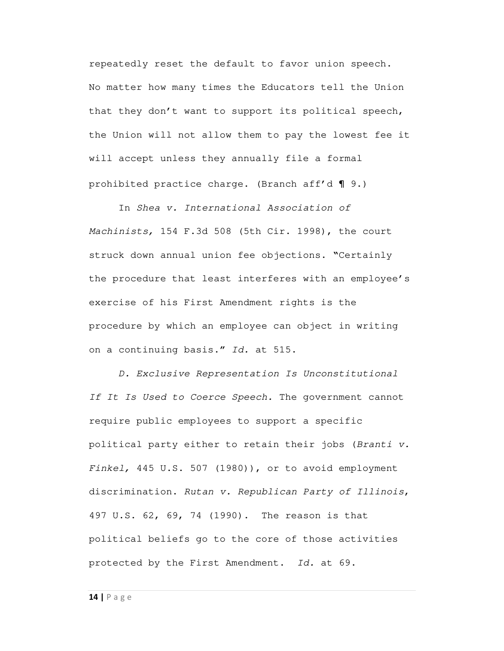repeatedly reset the default to favor union speech. No matter how many times the Educators tell the Union that they don't want to support its political speech, the Union will not allow them to pay the lowest fee it will accept unless they annually file a formal prohibited practice charge. (Branch aff'd ¶ 9.)

 In Shea v. International Association of Machinists, 154 F.3d 508 (5th Cir. 1998), the court struck down annual union fee objections. "Certainly the procedure that least interferes with an employee's exercise of his First Amendment rights is the procedure by which an employee can object in writing on a continuing basis." Id. at 515.

D. Exclusive Representation Is Unconstitutional If It Is Used to Coerce Speech. The government cannot require public employees to support a specific political party either to retain their jobs (Branti v. Finkel, 445 U.S. 507 (1980)), or to avoid employment discrimination. Rutan v. Republican Party of Illinois, 497 U.S. 62, 69, 74 (1990). The reason is that political beliefs go to the core of those activities protected by the First Amendment. Id. at 69.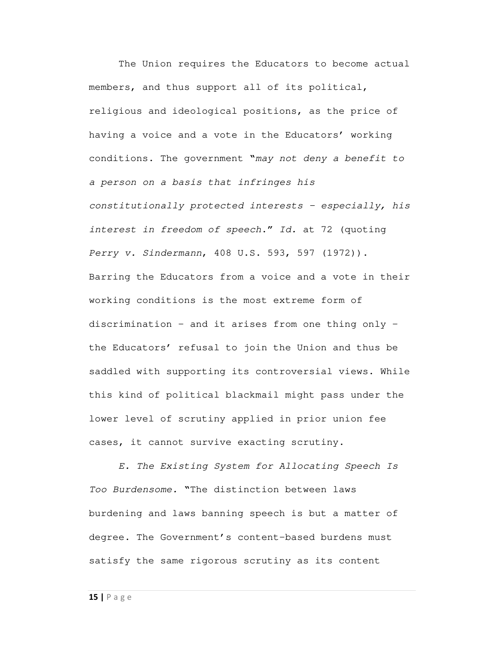The Union requires the Educators to become actual members, and thus support all of its political, religious and ideological positions, as the price of having a voice and a vote in the Educators' working conditions. The government "may not deny a benefit to a person on a basis that infringes his constitutionally protected interests – especially, his interest in freedom of speech." Id. at 72 (quoting Perry v. Sindermann, 408 U.S. 593, 597 (1972)). Barring the Educators from a voice and a vote in their working conditions is the most extreme form of discrimination – and it arises from one thing only – the Educators' refusal to join the Union and thus be saddled with supporting its controversial views. While this kind of political blackmail might pass under the lower level of scrutiny applied in prior union fee cases, it cannot survive exacting scrutiny.

E. The Existing System for Allocating Speech Is Too Burdensome. "The distinction between laws burdening and laws banning speech is but a matter of degree. The Government's content-based burdens must satisfy the same rigorous scrutiny as its content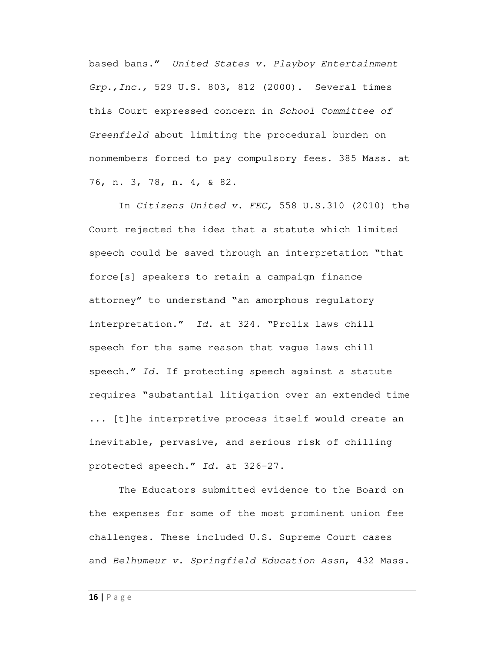based bans." United States v. Playboy Entertainment Grp.,Inc., 529 U.S. 803, 812 (2000). Several times this Court expressed concern in School Committee of Greenfield about limiting the procedural burden on nonmembers forced to pay compulsory fees. 385 Mass. at 76, n. 3, 78, n. 4, & 82.

In Citizens United v. FEC, 558 U.S.310 (2010) the Court rejected the idea that a statute which limited speech could be saved through an interpretation "that force[s] speakers to retain a campaign finance attorney" to understand "an amorphous regulatory interpretation." Id. at 324. "Prolix laws chill speech for the same reason that vague laws chill speech." Id. If protecting speech against a statute requires "substantial litigation over an extended time ... [t]he interpretive process itself would create an inevitable, pervasive, and serious risk of chilling protected speech." Id. at 326-27.

 The Educators submitted evidence to the Board on the expenses for some of the most prominent union fee challenges. These included U.S. Supreme Court cases and Belhumeur v. Springfield Education Assn, 432 Mass.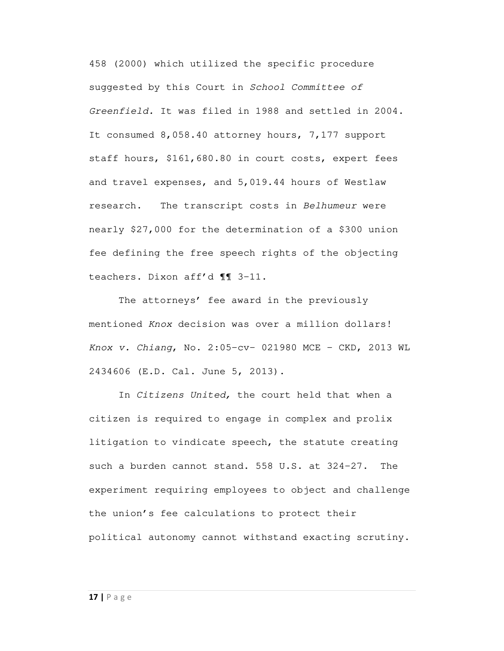458 (2000) which utilized the specific procedure suggested by this Court in School Committee of Greenfield. It was filed in 1988 and settled in 2004. It consumed 8,058.40 attorney hours, 7,177 support staff hours, \$161,680.80 in court costs, expert fees and travel expenses, and 5,019.44 hours of Westlaw research. The transcript costs in Belhumeur were nearly \$27,000 for the determination of a \$300 union fee defining the free speech rights of the objecting teachers. Dixon aff'd ¶¶ 3-11.

 The attorneys' fee award in the previously mentioned Knox decision was over a million dollars! Knox v. Chiang, No. 2:05-cv- 021980 MCE - CKD, 2013 WL 2434606 (E.D. Cal. June 5, 2013).

In Citizens United, the court held that when a citizen is required to engage in complex and prolix litigation to vindicate speech, the statute creating such a burden cannot stand. 558 U.S. at 324-27. The experiment requiring employees to object and challenge the union's fee calculations to protect their political autonomy cannot withstand exacting scrutiny.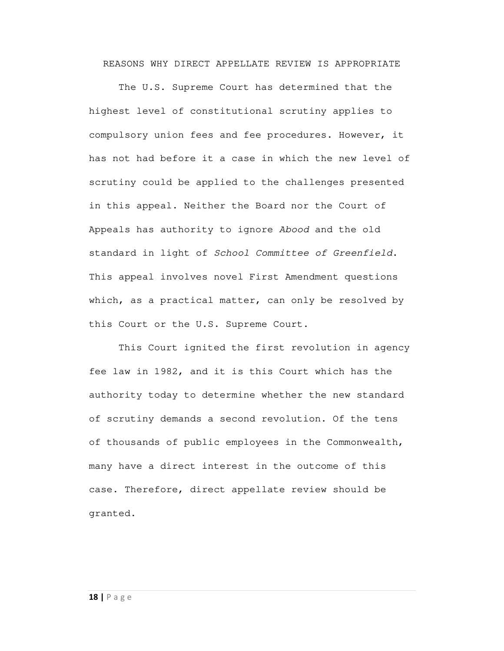REASONS WHY DIRECT APPELLATE REVIEW IS APPROPRIATE

 The U.S. Supreme Court has determined that the highest level of constitutional scrutiny applies to compulsory union fees and fee procedures. However, it has not had before it a case in which the new level of scrutiny could be applied to the challenges presented in this appeal. Neither the Board nor the Court of Appeals has authority to ignore Abood and the old standard in light of School Committee of Greenfield. This appeal involves novel First Amendment questions which, as a practical matter, can only be resolved by this Court or the U.S. Supreme Court.

 This Court ignited the first revolution in agency fee law in 1982, and it is this Court which has the authority today to determine whether the new standard of scrutiny demands a second revolution. Of the tens of thousands of public employees in the Commonwealth, many have a direct interest in the outcome of this case. Therefore, direct appellate review should be granted.